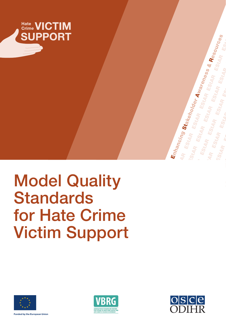

# Model Quality **Standards** for Hate Crime Victim Support







**Fall European Union**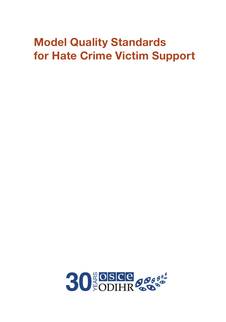# Model Quality Standards for Hate Crime Victim Support

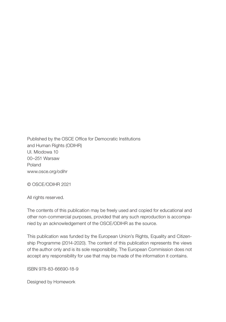Published by the OSCE Office for Democratic Institutions and Human Rights (ODIHR) Ul. Miodowa 10 00–251 Warsaw Poland www.osce.org/odihr

© OSCE/ODIHR 2021

All rights reserved.

The contents of this publication may be freely used and copied for educational and other non-commercial purposes, provided that any such reproduction is accompanied by an acknowledgement of the OSCE/ODIHR as the source.

This publication was funded by the European Union's Rights, Equality and Citizenship Programme (2014-2020). The content of this publication represents the views of the author only and is its sole responsibility. The European Commission does not accept any responsibility for use that may be made of the information it contains.

ISBN 978-83-66690-18-9

Designed by Homework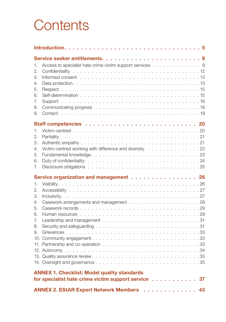# **Contents**

| 1.  | Access to specialist hate crime victim support services 9 |  |  |  |
|-----|-----------------------------------------------------------|--|--|--|
| 2.  |                                                           |  |  |  |
| З.  |                                                           |  |  |  |
| 4.  |                                                           |  |  |  |
| 5.  |                                                           |  |  |  |
| 6.  |                                                           |  |  |  |
| 7.  |                                                           |  |  |  |
| 8.  |                                                           |  |  |  |
| 9.  |                                                           |  |  |  |
|     |                                                           |  |  |  |
| 1.  |                                                           |  |  |  |
| 2.  |                                                           |  |  |  |
| 3.  |                                                           |  |  |  |
| 4.  | Victim-centred working with difference and diversity. 22  |  |  |  |
| 5.  |                                                           |  |  |  |
| 6.  |                                                           |  |  |  |
| 7.  |                                                           |  |  |  |
|     |                                                           |  |  |  |
|     |                                                           |  |  |  |
| 1.  | Service organization and management 26                    |  |  |  |
| 2.  |                                                           |  |  |  |
| 3.  |                                                           |  |  |  |
| 4.  |                                                           |  |  |  |
| 5.  |                                                           |  |  |  |
| 6.  |                                                           |  |  |  |
| 7.  |                                                           |  |  |  |
| 8.  |                                                           |  |  |  |
| 9.  |                                                           |  |  |  |
|     |                                                           |  |  |  |
| 11. |                                                           |  |  |  |
|     |                                                           |  |  |  |
|     |                                                           |  |  |  |
|     |                                                           |  |  |  |
|     | <b>ANNEX 1. Checklist: Model quality standards</b>        |  |  |  |
|     | for specialist hate crime victim support service<br>37    |  |  |  |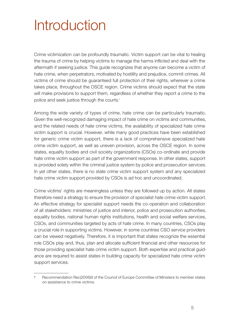# <span id="page-6-0"></span>Introduction

Crime victimization can be profoundly traumatic. Victim support can be vital to healing the trauma of crime by helping victims to manage the harms inflicted and deal with the aftermath if seeking justice. This guide recognizes that anyone can become a victim of hate crime, when perpetrators, motivated by hostility and prejudice, commit crimes. All victims of crime should be guaranteed full protection of their rights, wherever a crime takes place, throughout the OSCE region. Crime victims should expect that the state will make provisions to support them, regardless of whether they report a crime to the police and seek justice through the courts.<sup>1</sup>

Among the wide variety of types of crime, hate crime can be particularly traumatic. Given the well-recognized damaging impact of hate crime on victims and communities, and the related needs of hate crime victims, the availability of specialized hate crime victim support is crucial. However, while many good practices have been established for generic crime victim support, there is a lack of comprehensive specialized hate crime victim support, as well as uneven provision, across the OSCE region. In some states, equality bodies and civil society organizations (CSOs) co-ordinate and provide hate crime victim support as part of the government response. In other states, support is provided solely within the criminal justice system by police and prosecution services. In yet other states, there is no state crime victim support system and any specialized hate crime victim support provided by CSOs is ad hoc and uncoordinated.

Crime victims' rights are meaningless unless they are followed up by action. All states therefore need a strategy to ensure the provision of specialist hate crime victim support. An effective strategy for specialist support needs the co-operation and collaboration of all stakeholders: ministries of justice and interior, police and prosecution authorities, equality bodies, national human rights institutions, health and social welfare services, CSOs, and communities targeted by acts of hate crime. In many countries, CSOs play a crucial role in supporting victims. However, in some countries CSO service providers can be viewed negatively. Therefore, it is important that states recognize the essential role CSOs play and, thus, plan and allocate sufficient financial and other resources for those providing specialist hate crime victim support. Both expertise and practical guidance are required to assist states in building capacity for specialized hate crime victim support services.

<sup>1</sup> [Recommendation Rec\(2006\)8 of the Council of Europe Committee of Ministers to member states](file:///C:\Users\zisma\AppData\Local\Temp\Recommendation%20Rec(2006)8%20of%20the%20Council%20of%20Europe%20Committee%20of%20Ministers%20to%20member%20states%20on%20assistance%20to%20crime%20victims)  [on assistance to crime victims.](file:///C:\Users\zisma\AppData\Local\Temp\Recommendation%20Rec(2006)8%20of%20the%20Council%20of%20Europe%20Committee%20of%20Ministers%20to%20member%20states%20on%20assistance%20to%20crime%20victims)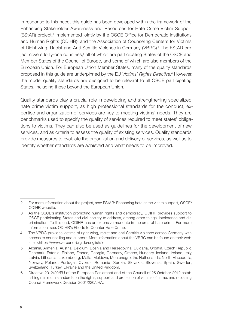In response to this need, this guide has been developed within the framework of the Enhancing Stakeholder Awareness and Resources for Hate Crime Victim Support (EStAR) project,<sup>2</sup> implemented jointly by the OSCE Office for Democratic Institutions and Human Rights (ODIHR)<sup>3</sup> and the Association of Counseling Centers for Victims of Right-wing, Racist and Anti-Semitic Violence in Germany (VBRG).<sup>4</sup> The EStAR project covers forty-one countries,<sup>5</sup> all of which are participating States of the OSCE and Member States of the Council of Europe, and some of which are also members of the European Union. For European Union Member States, many of the quality standards proposed in this guide are underpinned by the EU Victims' Rights Directive.<sup>6</sup> However, the model quality standards are designed to be relevant to all OSCE participating States, including those beyond the European Union.

Quality standards play a crucial role in developing and strengthening specialized hate crime victim support, as high professional standards for the conduct, expertise and organization of services are key to meeting victims' needs. They are benchmarks used to specify the quality of services required to meet states' obligations to victims. They can also be used as guidelines for the development of new services, and as criteria to assess the quality of existing services. Quality standards provide measures to evaluate the organization and delivery of services, as well as to identify whether standards are achieved and what needs to be improved.

<sup>2</sup> For more information about the project, see: [EStAR: Enhancing hate crime victim support, OSCE/](https://www.osce.org/odihr/hate-crime-victim-support) [ODIHR website](https://www.osce.org/odihr/hate-crime-victim-support).

<sup>3</sup> As the OSCE's institution promoting human rights and democracy, ODIHR provides support to OSCE participating States and civil society to address, among other things, intolerance and discrimination. To this end, ODIHR has an extensive mandate in the area of hate crime. For more information, see: [ODIHR's Efforts to Counter Hate Crime](https://www.osce.org/odihr/68668).

<sup>4</sup> The VBRG provides victims of right-wing, racist and anti-Semitic violence across Germany with access to counselling and support. More information about the VBRG can be found [on their web](https://www.verband-brg.de/english/)[site:](https://www.verband-brg.de/english/) <https://www.verband-brg.de/english/>.

<sup>5</sup> Albania, Armenia, Austria, Belgium, Bosnia and Herzegovina, Bulgaria, Croatia, Czech Republic, Denmark, Estonia, Finland, France, Georgia, Germany, Greece, Hungary, Iceland, Ireland, Italy, Latvia, Lithuania, Luxembourg, Malta, Moldova, Montenegro, the Netherlands, North Macedonia, Norway, Poland, Portugal, Cyprus, Romania, Serbia, Slovakia, Slovenia, Spain, Sweden, Switzerland, Turkey, Ukraine and the United Kingdom.

<sup>6</sup> [Directive 2012/29/EU of the European Parliament and of the Council of 25 October 2012](https://eur-lex.europa.eu/legal-content/en/TXT/?uri=CELEX%3A32012L0029) establishing minimum standards on the rights, support and protection of victims of crime, and replacing Council Framework Decision 2001/220/JHA.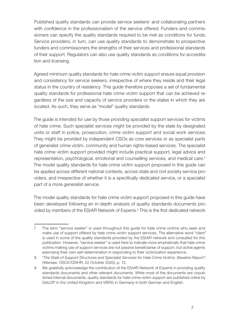Published quality standards can provide service seekers<sup>7</sup> and collaborating partners with confidence in the professionalism of the service offered. Funders and commissioners can specify the quality standards required to be met as conditions for funds. Service providers, in turn, can use quality standards to demonstrate to prospective funders and commissioners the strengths of their services and professional standards of their support. Regulators can also use quality standards as conditions for accreditation and licensing.

Agreed minimum quality standards for hate crime victim support ensure equal provision and consistency for service seekers, irrespective of where they reside and their legal status in the country of residency. This guide therefore proposes a set of fundamental quality standards for professional hate crime victim support that can be achieved regardless of the size and capacity of service providers or the states in which they are located. As such, they serve as "model" quality standards.

The guide is intended for use by those providing specialist support services for victims of hate crime. Such specialist services might be provided by the state by designated units or staff in police, prosecution, crime victim support and social work services. They might be provided by independent CSOs as core services or as specialist parts of generalist crime victim, community and human rights-based services. The specialist hate crime victim support provided might include practical support, legal advice and representation, psychological, emotional and counselling services, and medical care.<sup>8</sup> The model quality standards for hate crime victim support proposed in this guide can be applied across different national contexts, across state and civil society service providers, and irrespective of whether it is a specifically dedicated service, or a specialist part of a more generalist service.

The model quality standards for hate crime victim support proposed in this guide have been developed following an in-depth analysis of quality standards documents provided by members of the EStAR Network of Experts.<sup>9</sup> This is the first dedicated network

<sup>7</sup> The term "service seeker" is used throughout this guide for hate crime victims who seek and make use of support offered by hate crime victim support services. The alternative word "client" is used in some of the quality standards provided by the EStAR network and consulted for this publication. However, "service seeker" is used here to indicate more emphatically that hate crime victims making use of support services are not passive beneficiaries of support, but active agents exercising their own self-determination in responding to their victimization experience.

<sup>8</sup> "*[The State of Support Structures and Specialist Services for Hate Crime Victims. Baseline Report"](https://www.osce.org/odihr/467916)*, (Warsaw: OSCE/ODIHR, 22 October 2020), p. 13.

<sup>9</sup> We gratefully acknowledge the contribution of the EStAR Network of Experts in providing quality standards documents and other relevant documents. While most of the documents are unpublished internal documents, quality standards for hate crime victim support are published online by [GALOP in the United Kingdom](https://www.galop.org.uk/wp-content/uploads/LGBT-Hate-Crime-Quality-Standard.pdf) and [VBRG in Germany](https://verband-brg.de/vbrg-qualitatsstandards-beratung-rechte-gewalt/) in both German and English.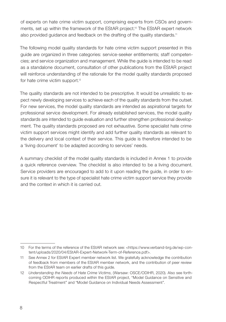of experts on hate crime victim support, comprising experts from CSOs and governments, set up within the framework of the EStAR project.<sup>10</sup> The EStAR expert network also provided quidance and feedback on the drafting of the quality standards.<sup>11</sup>

The following model quality standards for hate crime victim support presented in this guide are organized in three categories: service-seeker entitlements; staff competencies; and service organization and management. While the guide is intended to be read as a standalone document, consultation of other publications from the EStAR project will reinforce understanding of the rationale for the model quality standards proposed for hate crime victim support.<sup>12</sup>

The quality standards are not intended to be prescriptive. It would be unrealistic to expect newly developing services to achieve each of the quality standards from the outset. For new services, the model quality standards are intended as aspirational targets for professional service development. For already established services, the model quality standards are intended to guide evaluation and further strengthen professional development. The quality standards proposed are not exhaustive. Some specialist hate crime victim support services might identify and add further quality standards as relevant to the delivery and local context of their service. This guide is therefore intended to be a 'living document' to be adapted according to services' needs.

A summary checklist of the model quality standards is included in Annex 1 to provide a quick reference overview. The checklist is also intended to be a living document. Service providers are encouraged to add to it upon reading the guide, in order to ensure it is relevant to the type of specialist hate crime victim support service they provide and the context in which it is carried out.

<sup>10</sup> For the terms of the reference of the EStAR network see: [<https://www.verband-brg.de/wp-con](https://www.verband-brg.de/wp-content/uploads/2020/04/EStAR-Expert-Network-Term-of-Reference.pdf)[tent/uploads/2020/04/EStAR-Expert-Network-Term-of-Reference.pdf](https://www.verband-brg.de/wp-content/uploads/2020/04/EStAR-Expert-Network-Term-of-Reference.pdf)>.

<sup>11</sup> See Annex 2 for EStAR Expert member network list. We gratefully acknowledge the contribution of feedback from members of the EStAR member network, and the contribution of peer review from the EStAR team on earlier drafts of this guide.

<sup>12</sup> *[Understanding the Needs of Hate Crime Victims](https://www.osce.org/odihr/463011)*, (Warsaw: OSCE/ODIHR, 2020)*.* Also see forthcoming ODIHR reports produced within the EStAR project, ["Model Guidance on Sensitive and](https://www.osce.org/odihr/hate-crime-victim-support)  [Respectful Treatment"](https://www.osce.org/odihr/hate-crime-victim-support) and "[Model Guidance on Individual Needs Assessment"](https://www.osce.org/odihr/hate-crime-victim-support).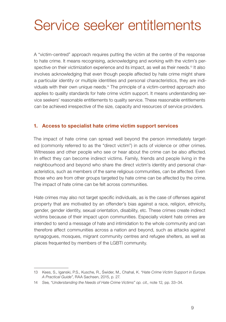# <span id="page-10-0"></span>Service seeker entitlements

A "victim-centred" approach requires putting the victim at the centre of the response to hate crime. It means recognising, acknowledging and working with the victim's perspective on their victimization experience and its impact, as well as their needs.<sup>13</sup> It also involves acknowledging that even though people affected by hate crime might share a particular identity or multiple identities and personal characteristics, they are individuals with their own unique needs.14 The principle of a victim-centred approach also applies to quality standards for hate crime victim support. It means understanding service seekers' reasonable entitlements to quality service. These reasonable entitlements can be achieved irrespective of the size, capacity and resources of service providers.

#### 1. Access to specialist hate crime victim support services

The impact of hate crime can spread well beyond the person immediately targeted (commonly referred to as the "direct victim") in acts of violence or other crimes. Witnesses and other people who see or hear about the crime can be also affected. In effect they can become indirect victims. Family, friends and people living in the neighbourhood and beyond who share the direct victim's identity and personal characteristics, such as members of the same religious communities, can be affected. Even those who are from other groups targeted by hate crime can be affected by the crime. The impact of hate crime can be felt across communities.

Hate crimes may also not target specific individuals, as is the case of offenses against property that are motivated by an offender's bias against a race, religion, ethnicity, gender, gender identity, sexual orientation, disability, etc. These crimes create indirect victims because of their impact upon communities. Especially violent hate crimes are intended to send a message of hate and intimidation to the whole community and can therefore affect communities across a nation and beyond, such as attacks against synagogues, mosques, migrant community centres and refugee shelters, as well as places frequented by members of the LGBTI community.

<sup>13</sup> Kees, S., Iganski, P.S., Kusche, R., Świder, M., Chahal, K. *"[Hate Crime Victim Support in Europe.](https://verband-brg.de/guidelines-hate-crime-victim-support-in-europe/)  [A Practical Guide"](https://verband-brg.de/guidelines-hate-crime-victim-support-in-europe/)*, RAA Sachsen, 2015, p. 27.

<sup>14</sup> *S*ee*,* "*[Understanding the Needs of Hate Crime Victims"](https://www.osce.org/odihr/463011) op. cit.,* note 12*,* pp. 33–34.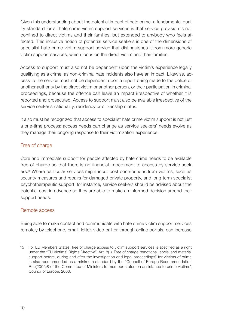Given this understanding about the potential impact of hate crime, a fundamental quality standard for all hate crime victim support services is that service provision is not confined to direct victims and their families, but extended to anybody who feels affected. This inclusive notion of potential service seekers is one of the dimensions of specialist hate crime victim support service that distinguishes it from more generic victim support services, which focus on the direct victim and their families.

Access to support must also not be dependent upon the victim's experience legally qualifying as a crime, as non-criminal hate incidents also have an impact. Likewise, access to the service must not be dependent upon a report being made to the police or another authority by the direct victim or another person, or their participation in criminal proceedings, because the offence can leave an impact irrespective of whether it is reported and prosecuted. Access to support must also be available irrespective of the service seeker's nationality, residency or citizenship status.

It also must be recognized that access to specialist hate crime victim support is not just a one-time process: access needs can change as service seekers' needs evolve as they manage their ongoing response to their victimization experience.

### Free of charge

Core and immediate support for people affected by hate crime needs to be available free of charge so that there is no financial impediment to access by service seekers.15 Where particular services might incur cost contributions from victims, such as security measures and repairs for damaged private property, and long-term specialist psychotherapeutic support, for instance, service seekers should be advised about the potential cost in advance so they are able to make an informed decision around their support needs.

#### Remote access

Being able to make contact and communicate with hate crime victim support services remotely by telephone, email, letter, video call or through online portals, can increase

<sup>15</sup> For EU Members States, free of charge access to victim support services is specified as a right under the ["EU Victims' Rights Directive"](https://eur-lex.europa.eu/legal-content/en/TXT/?uri=CELEX%3A32012L0029), Art. 8(1). Free of charge "emotional, social and material support before, during and after the investigation and legal proceedings" for victims of crime is also recommended as a minimum standard by the "[Council of Europe Recommendation](https://rm.coe.int/16805afa5c)  [Rec\(2006\)8 of the Committee of Ministers to member states on assistance to crime victims](https://rm.coe.int/16805afa5c)", Council of Europe, 2006.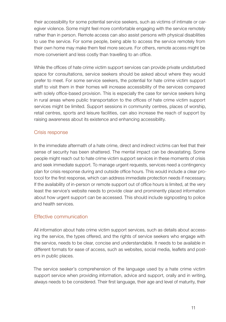their accessibility for some potential service seekers, such as victims of intimate or caregiver violence. Some might feel more comfortable engaging with the service remotely rather than in person. Remote access can also assist persons with physical disabilities to use the service. For some people, being able to access the service remotely from their own home may make them feel more secure. For others, remote access might be more convenient and less costly than travelling to an office.

While the offices of hate crime victim support services can provide private undisturbed space for consultations, service seekers should be asked about where they would prefer to meet. For some service seekers, the potential for hate crime victim support staff to visit them in their homes will increase accessibility of the services compared with solely office-based provision. This is especially the case for service seekers living in rural areas where public transportation to the offices of hate crime victim support services might be limited. Support sessions in community centres, places of worship, retail centres, sports and leisure facilities, can also increase the reach of support by raising awareness about its existence and enhancing accessibility.

#### Crisis response

In the immediate aftermath of a hate crime, direct and indirect victims can feel that their sense of security has been shattered. The mental impact can be devastating. Some people might reach out to hate crime victim support services in these moments of crisis and seek immediate support. To manage urgent requests, services need a contingency plan for crisis response during and outside office hours. This would include a clear protocol for the first response, which can address immediate protection needs if necessary. If the availability of in-person or remote support out of office hours is limited, at the very least the service's website needs to provide clear and prominently placed information about how urgent support can be accessed. This should include signposting to police and health services.

#### Effective communication

All information about hate crime victim support services, such as details about accessing the service, the types offered, and the rights of service seekers who engage with the service, needs to be clear, concise and understandable. It needs to be available in different formats for ease of access, such as websites, social media, leaflets and posters in public places.

The service seeker's comprehension of the language used by a hate crime victim support service when providing information, advice and support, orally and in writing, always needs to be considered. Their first language, their age and level of maturity, their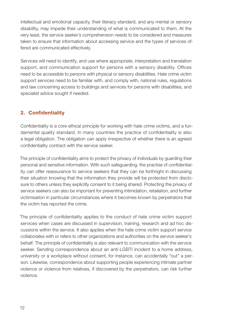<span id="page-13-0"></span>intellectual and emotional capacity, their literacy standard, and any mental or sensory disability, may impede their understanding of what is communicated to them. At the very least, the service seeker's comprehension needs to be considered and measures taken to ensure that information about accessing service and the types of services offered are communicated effectively.

Services will need to identify, and use where appropriate, interpretation and translation support, and communication support for persons with a sensory disability. Offices need to be accessible to persons with physical or sensory disabilities. Hate crime victim support services need to be familiar with, and comply with, national rules, regulations and law concerning access to buildings and services for persons with disabilities, and specialist advice sought if needed.

# 2. Confidentiality

Confidentiality is a core ethical principle for working with hate crime victims, and a fundamental quality standard. In many countries the practice of confidentiality is also a legal obligation. The obligation can apply irrespective of whether there is an agreed confidentiality contract with the service seeker.

The principle of confidentiality aims to protect the privacy of individuals by guarding their personal and sensitive information. With such safeguarding, the practise of confidentiality can offer reassurance to service seekers that they can be forthright in discussing their situation knowing that the information they provide will be protected from disclosure to others unless they explicitly consent to it being shared. Protecting the privacy of service seekers can also be important for preventing intimidation, retaliation, and further victimisation in particular circumstances where it becomes known by perpetrators that the victim has reported the crime.

The principle of confidentiality applies to the conduct of hate crime victim support services when cases are discussed in supervision, training, research and ad hoc discussions within the service. It also applies when the hate crime victim support service collaborates with or refers to other organizations and authorities on the service seeker's behalf. The principle of confidentiality is also relevant to communication with the service seeker. Sending correspondence about an anti-LGBTI incident to a home address, university or a workplace without consent, for instance, can accidentally "out" a person. Likewise, correspondence about supporting people experiencing intimate partner violence or violence from relatives, if discovered by the perpetrators, can risk further violence.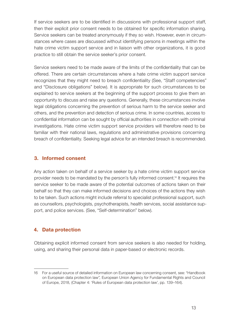<span id="page-14-0"></span>If service seekers are to be identified in discussions with professional support staff, then their explicit prior consent needs to be obtained for specific information sharing. Service seekers can be treated anonymously if they so wish. However, even in circumstances where cases are discussed without identifying persons in meetings within the hate crime victim support service and in liaison with other organizations, it is good practice to still obtain the service seeker's prior consent.

Service seekers need to be made aware of the limits of the confidentiality that can be offered. There are certain circumstances where a hate crime victim support service recognizes that they might need to breach confidentiality (See, "Staff competencies" and "Disclosure obligations" below). It is appropriate for such circumstances to be explained to service seekers at the beginning of the support process to give them an opportunity to discuss and raise any questions. Generally, these circumstances involve legal obligations concerning the prevention of serious harm to the service seeker and others, and the prevention and detection of serious crime. In some countries, access to confidential information can be sought by official authorities in connection with criminal investigations. Hate crime victim support service providers will therefore need to be familiar with their national laws, regulations and administrative provisions concerning breach of confidentiality. Seeking legal advice for an intended breach is recommended.

#### 3. Informed consent

Any action taken on behalf of a service seeker by a hate crime victim support service provider needs to be mandated by the person's fully informed consent.16 It requires the service seeker to be made aware of the potential outcomes of actions taken on their behalf so that they can make informed decisions and choices of the actions they wish to be taken. Such actions might include referral to specialist professional support, such as counsellors, psychologists, psychotherapists, health services, social assistance support, and police services. (See, "Self-determination" below).

#### 4. Data protection

Obtaining explicit informed consent from service seekers is also needed for holding, using, and sharing their personal data in paper-based or electronic records.

<sup>16</sup> For a useful source of detailed information on European law concerning consent, see: "[Handbook](https://fra.europa.eu/en/publication/2018/handbook-european-data-protection-law-2018-edition)  [on European data protection law](https://fra.europa.eu/en/publication/2018/handbook-european-data-protection-law-2018-edition)"*,* European Union Agency for Fundamental Rights and Council of Europe, 2018, (Chapter 4: 'Rules of European data protection law', pp. 139–164).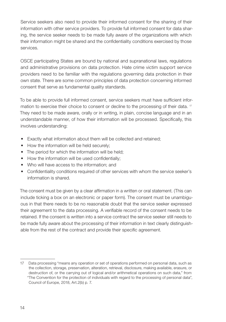Service seekers also need to provide their informed consent for the sharing of their information with other service providers. To provide full informed consent for data sharing, the service seeker needs to be made fully aware of the organizations with which their information might be shared and the confidentiality conditions exercised by those services.

OSCE participating States are bound by national and supranational laws, regulations and administrative provisions on data protection. Hate crime victim support service providers need to be familiar with the regulations governing data protection in their own state. There are some common principles of data protection concerning informed consent that serve as fundamental quality standards.

To be able to provide full informed consent, service seekers must have sufficient information to exercise their choice to consent or decline to the processing of their data. <sup>17</sup> They need to be made aware, orally or in writing, in plain, concise language and in an understandable manner, of how their information will be processed. Specifically, this involves understanding:

- Exactly what information about them will be collected and retained;
- How the information will be held securely;
- The period for which the information will be held;
- How the information will be used confidentially;
- Who will have access to the information; and
- Confidentiality conditions required of other services with whom the service seeker's information is shared.

The consent must be given by a clear affirmation in a written or oral statement. (This can include ticking a box on an electronic or paper form). The consent must be unambiguous in that there needs to be no reasonable doubt that the service seeker expressed their agreement to the data processing. A verifiable record of the consent needs to be retained. If the consent is written into a service contract the service seeker still needs to be made fully aware about the processing of their information in text clearly distinguishable from the rest of the contract and provide their specific agreement.

<sup>17</sup> Data processing "means any operation or set of operations performed on personal data, such as the collection, storage, preservation, alteration, retrieval, disclosure, making available, erasure, or destruction of, or the carrying out of logical and/or arithmetical operations on such data," from "[The Convention for the protection of individuals with regard to the processing of personal data](https://rm.coe.int/convention-108-convention-for-the-protection-of-individuals-with-regar/16808b36f1)", Council of Europe, 2018, Art.2(b) p. 7.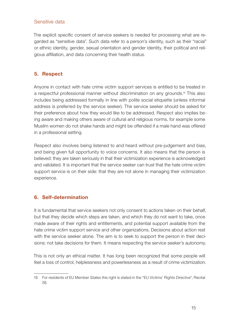#### <span id="page-16-0"></span>Sensitive data

The explicit specific consent of service seekers is needed for processing what are regarded as "sensitive data". Such data refer to a person's identity, such as their "racial" or ethnic identity, gender, sexual orientation and gender identity, their political and religious affiliation, and data concerning their health status.

### 5. Respect

Anyone in contact with hate crime victim support services is entitled to be treated in a respectful professional manner without discrimination on any grounds.18 This also includes being addressed formally in line with polite social etiquette (unless informal address is preferred by the service seeker). The service seeker should be asked for their preference about how they would like to be addressed. Respect also implies being aware and making others aware of cultural and religious norms, for example some Muslim women do not shake hands and might be offended if a male hand was offered in a professional setting.

Respect also involves being listened to and heard without pre-judgement and bias, and being given full opportunity to voice concerns. It also means that the person is believed: they are taken seriously in that their victimization experience is acknowledged and validated. It is important that the service seeker can trust that the hate crime victim support service is on their side: that they are not alone in managing their victimization experience.

#### 6. Self-determination

It is fundamental that service seekers not only consent to actions taken on their behalf, but that they decide which steps are taken, and which they do not want to take, once made aware of their rights and entitlements, and potential support available from the hate crime victim support service and other organizations. Decisions about action rest with the service seeker alone. The aim is to seek to support the person in their decisions: not take decisions for them. It means respecting the service seeker's autonomy.

This is not only an ethical matter. It has long been recognized that some people will feel a loss of control, helplessness and powerlessness as a result of crime victimization.

<sup>18</sup> For residents of EU Member States this right is stated in the "[EU Victims' Rights Directive](https://eur-lex.europa.eu/legal-content/en/TXT/?uri=CELEX%3A32012L0029)", Recital (9).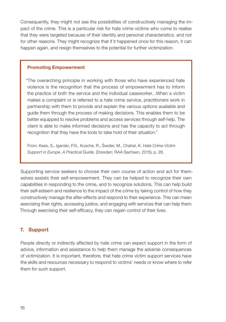<span id="page-17-0"></span>Consequently, they might not see the possibilities of constructively managing the impact of the crime. This is a particular risk for hate crime victims who come to realise that they were targeted because of their identity and personal characteristics, and not for other reasons. They might recognize that if it happened once for this reason, it can happen again, and resign themselves to the potential for further victimization.

#### Promoting Empowerment

"The overarching principle in working with those who have experienced hate violence is the recognition that the process of empowerment has to inform the practice of both the service and the individual caseworker…When a victim makes a complaint or is referred to a hate crime service, practitioners work in partnership with them to provide and explain the various options available and guide them through the process of making decisions. This enables them to be better equipped to resolve problems and access services through self-help. The client is able to make informed decisions and has the capacity to act through recognition that they have the tools to take hold of their situation."

From: Kees, S., Iganski, P.S., Kusche, R., Świder, M., Chahal, K. *[Hate Crime Victim](https://verband-brg.de/guidelines-hate-crime-victim-support-in-europe/)  [Support in Europe. A Practical Guide](https://verband-brg.de/guidelines-hate-crime-victim-support-in-europe/),* (Dresden: RAA Sachsen, 2015), p. 28.

Supporting service seekers to choose their own course of action and act for themselves assists their self-empowerment. They can be helped to recognize their own capabilities in responding to the crime, and to recognize solutions. This can help build their self-esteem and resilience to the impact of the crime by taking control of how they constructively manage the after-effects and respond to their experience. This can mean exercising their rights, accessing justice, and engaging with services that can help them. Through exercising their self-efficacy, they can regain control of their lives.

# 7. Support

People directly or indirectly affected by hate crime can expect support in the form of advice, information and assistance to help them manage the adverse consequences of victimization. It is important, therefore, that hate crime victim support services have the skills and resources necessary to respond to victims' needs or know where to refer them for such support.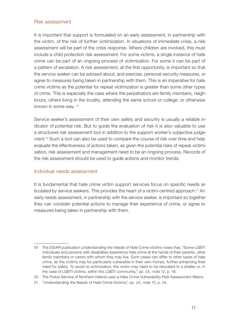#### Risk assessment

It is important that support is formulated on an early assessment, in partnership with the victim, of the risk of further victimization. In situations of immediate crisis, a risk assessment will be part of the crisis response. Where children are involved, this must include a child protection risk assessment. For some victims, a single instance of hate crime can be part of an ongoing process of victimization. For some it can be part of a pattern of escalation. A risk assessment, at the first opportunity, is important so that the service seeker can be advised about, and exercise, personal security measures, or agree to measures being taken in partnership with them. This is an imperative for hate crime victims as the potential for repeat victimization is greater than some other types of crime. This is especially the case where the perpetrators are family members, neighbours, others living in the locality, attending the same school or college, or otherwise known in some way.<sup>19</sup>

Service seeker's assessment of their own safety and security is usually a reliable indicator of potential risk. But to guide the evaluation of risk it is also valuable to use a structured risk assessment tool in addition to the support worker's subjective judgement.<sup>20</sup> Such a tool can also be used to compare the course of risk over time and help evaluate the effectiveness of actions taken, as given the potential risks of repeat victimisation, risk assessment and management need to be an ongoing process. Records of the risk assessment should be used to guide actions and monitor trends.

#### Individual needs assessment

It is fundamental that hate crime victim support services focus on specific needs articulated by service seekers. This provides the heart of a victim-centred approach.<sup>21</sup> An early needs assessment, in partnership with the service seeker, is important so together they can consider potential actions to manage their experience of crime, or agree to measures being taken in partnership with them.

<sup>19</sup> The EStAR publication *Understanding the Needs of Hate Crime Victims* notes that, "Some LGBTI individuals and persons with disabilities experience hate crime at the hands of their parents, other family members or carers with whom they may live. Such cases can differ to other types of hate crime, as the victims may be particularly vulnerable in their own homes, further enhancing their need for safety. To avoid re-victimization, the victim may need to be relocated to a shelter or, in the case of LGBTI victims, within the LGBTI community," *op. cit.,* note 12, p. 18.

<sup>20</sup> The Police Service of Northern Ireland uses a [Hate Crime Vulnerability Risk Assessment Matrix](https://www.psni.police.uk/globalassets/advice--information/our-publications/policies-and-service-procedures/hate-crime-270720.pdf).

<sup>21</sup> "[Understanding the Needs of Hate Crime Victims](https://www.osce.org/odihr/463011)*", op. cit.,* note 12, p. 34.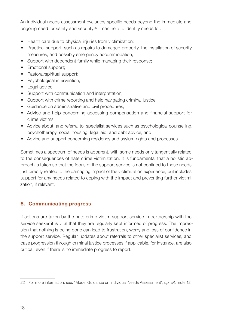<span id="page-19-0"></span>An individual needs assessment evaluates specific needs beyond the immediate and ongoing need for safety and security.22 It can help to identity needs for:

- Health care due to physical injuries from victimization;
- Practical support, such as repairs to damaged property, the installation of security measures, and possibly emergency accommodation;
- Support with dependent family while managing their response;
- Emotional support:
- Pastoral/spiritual support;
- Psychological intervention;
- Legal advice;
- Support with communication and interpretation:
- Support with crime reporting and help navigating criminal justice;
- Guidance on administrative and civil procedures;
- Advice and help concerning accessing compensation and financial support for crime victims;
- Advice about, and referral to, specialist services such as psychological counselling, psychotherapy, social housing, legal aid, and debt advice; and
- Advice and support concerning residency and asylum rights and processes.

Sometimes a spectrum of needs is apparent, with some needs only tangentially related to the consequences of hate crime victimization. It is fundamental that a holistic approach is taken so that the focus of the support service is not confined to those needs just directly related to the damaging impact of the victimization experience, but includes support for any needs related to coping with the impact and preventing further victimization, if relevant.

# 8. Communicating progress

If actions are taken by the hate crime victim support service in partnership with the service seeker it is vital that they are regularly kept informed of progress. The impression that nothing is being done can lead to frustration, worry and loss of confidence in the support service. Regular updates about referrals to other specialist services, and case progression through criminal justice processes if applicable, for instance, are also critical, even if there is no immediate progress to report.

<sup>22</sup> For more information, see: "[Model Guidance on Individual Needs Assessment"](https://www.osce.org/odihr/hate-crime-victim-support), *op. cit.,* note 12.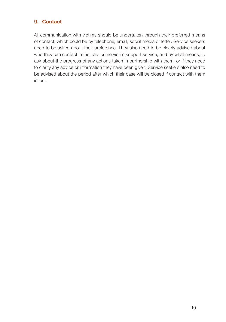# <span id="page-20-0"></span>9. Contact

All communication with victims should be undertaken through their preferred means of contact, which could be by telephone, email, social media or letter. Service seekers need to be asked about their preference. They also need to be clearly advised about who they can contact in the hate crime victim support service, and by what means, to ask about the progress of any actions taken in partnership with them, or if they need to clarify any advice or information they have been given. Service seekers also need to be advised about the period after which their case will be closed if contact with them is lost.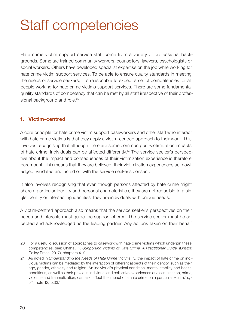# <span id="page-21-0"></span>Staff competencies

Hate crime victim support service staff come from a variety of professional backgrounds. Some are trained community workers, counsellors, lawyers, psychologists or social workers. Others have developed specialist expertise on the job while working for hate crime victim support services. To be able to ensure quality standards in meeting the needs of service seekers, it is reasonable to expect a set of competencies for all people working for hate crime victims support services. There are some fundamental quality standards of competency that can be met by all staff irrespective of their professional background and role.<sup>23</sup>

# 1. Victim-centred

A core principle for hate crime victim support caseworkers and other staff who interact with hate crime victims is that they apply a victim-centred approach to their work. This involves recognising that although there are some common post-victimization impacts of hate crime, individuals can be affected differently.24 The service seeker's perspective about the impact and consequences of their victimization experience is therefore paramount. This means that they are believed: their victimization experiences acknowledged, validated and acted on with the service seeker's consent.

It also involves recognising that even though persons affected by hate crime might share a particular identity and personal characteristics, they are not reducible to a single identity or intersecting identities: they are individuals with unique needs.

A victim-centred approach also means that the service seeker's perspectives on their needs and interests must guide the support offered. The service seeker must be accepted and acknowledged as the leading partner. Any actions taken on their behalf

<sup>23</sup> For a useful discussion of approaches to casework with hate crime victims which underpin these competencies, see: Chahal, K. *Supporting Victims of Hate Crime. A Practitioner Guide,* (Bristol: Policy Press, 2017), chapters 4–9.

<sup>24</sup> As noted in *Understanding the Needs of Hate Crime Victims*, "…the impact of hate crime on individual victims can be mediated by the interaction of different aspects of their identity, such as their age, gender, ethnicity and religion. An individual's physical condition, mental stability and health conditions, as well as their previous individual and collective experiences of discrimination, crime, violence and traumatization, can also affect the impact of a hate crime on a particular victim," *op. cit.,* note 12*,* p.33.1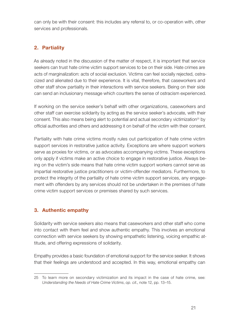<span id="page-22-0"></span>can only be with their consent: this includes any referral to, or co-operation with, other services and professionals.

# 2. Partiality

As already noted in the discussion of the matter of respect, it is important that service seekers can trust hate crime victim support services to be on their side. Hate crimes are acts of marginalization: acts of social exclusion. Victims can feel socially rejected, ostracized and alienated due to their experience. It is vital, therefore, that caseworkers and other staff show partiality in their interactions with service seekers. Being on their side can send an inclusionary message which counters the sense of ostracism experienced.

If working on the service seeker's behalf with other organizations, caseworkers and other staff can exercise solidarity by acting as the service seeker's advocate, with their consent. This also means being alert to potential and actual secondary victimization<sup>25</sup> by official authorities and others and addressing it on behalf of the victim with their consent.

Partiality with hate crime victims mostly rules out participation of hate crime victim support services in restorative justice activity. Exceptions are where support workers serve as proxies for victims, or as advocates accompanying victims. These exceptions only apply if victims make an active choice to engage in restorative justice. Always being on the victim's side means that hate crime victim support workers cannot serve as impartial restorative justice practitioners or victim-offender mediators. Furthermore, to protect the integrity of the partiality of hate crime victim support services, any engagement with offenders by any services should not be undertaken in the premises of hate crime victim support services or premises shared by such services.

# 3. Authentic empathy

Solidarity with service seekers also means that caseworkers and other staff who come into contact with them feel and show authentic empathy. This involves an emotional connection with service seekers by showing empathetic listening, voicing empathic attitude, and offering expressions of solidarity.

Empathy provides a basic foundation of emotional support for the service seeker. It shows that their feelings are understood and accepted. In this way, emotional empathy can

<sup>25</sup> To learn more on secondary victimization and its impact in the case of hate crime, see: *[Understanding the Needs of Hate Crime Victims](https://www.osce.org/odihr/463011)*, *op. cit*., note 12, pp. 13–15.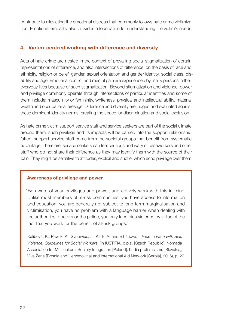<span id="page-23-0"></span>contribute to alleviating the emotional distress that commonly follows hate crime victimization. Emotional empathy also provides a foundation for understanding the victim's needs.

#### 4. Victim-centred working with difference and diversity

Acts of hate crime are nested in the context of prevailing social stigmatization of certain representations of difference, and also intersections of difference, on the basis of race and ethnicity, religion or belief, gender, sexual orientation and gender identity, social class, disability and age. Emotional conflict and mental pain are experienced by many persons in their everyday lives because of such stigmatization. Beyond stigmatization and violence, power and privilege commonly operate through intersections of particular identities and some of them include: masculinity or femininity, whiteness, physical and intellectual ability, material wealth and occupational prestige. Difference and diversity are judged and evaluated against these dominant identity norms, creating the space for discrimination and social exclusion.

As hate crime victim support service staff and service seekers are part of the social climate around them, such privilege and its impacts will be carried into the support relationship. Often, support service staff come from the societal groups that benefit from systematic advantage. Therefore, service seekers can feel cautious and wary of caseworkers and other staff who do not share their difference as they may identify them with the source of their pain. They might be sensitive to attitudes, explicit and subtle, which echo privilege over them.

#### Awareness of privilege and power

"Be aware of your privileges and power, and actively work with this in mind. Unlike most members of at-risk communities, you have access to information and education, you are generally not subject to long-term marginalisation and victimisation, you have no problem with a language barrier when dealing with the authorities, doctors or the police, you only face bias violence by virtue of the fact that you work for the benefit of at-risk groups."

Kalibová, K., Pawlik, K., Synowiec, J., Kalik, A. and Biháriová, I. *[Face to Face with Bias](https://en.in-ius.cz/dwn/brozury-bias/bias-eng-afterproof2.pdf)  [Violence. Guidelines for Social Workers](https://en.in-ius.cz/dwn/brozury-bias/bias-eng-afterproof2.pdf)*, (In IUSTITIA, o.p.s. [Czech Republic], Nomada Association for Multicultural Society Integration [Poland], Ľudia proti rasismu [Slovakia], Vive Žene [Bosnia and Herzegovina] and International Aid Network [Serbia], 2016), p. 27.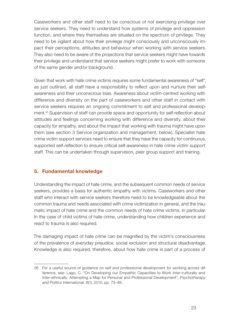<span id="page-24-0"></span>Caseworkers and other staff need to be conscious of not exercising privilege over service seekers. They need to understand how systems of privilege and oppression function, and where they themselves are situated on the spectrum of privilege. They need to be vigilant about how their privilege might consciously and unconsciously impact their perceptions, attitudes and behaviour when working with service seekers. They also need to be aware of the projections that service seekers might have towards their privilege and understand that service seekers might prefer to work with someone of the same gender and/or background.

Given that work with hate crime victims requires some fundamental awareness of "self", as just outlined, all staff have a responsibility to reflect upon and nurture their selfawareness and their unconscious bias. Awareness about victim-centred working with difference and diversity on the part of caseworkers and other staff in contact with service seekers requires an ongoing commitment to self and professional development.26 Supervision of staff can provide space and opportunity for self-reflection about attitudes and feelings concerning working with difference and diversity, about their capacity for empathy, and about the impact that working with trauma might have upon them (see section 3 Service organization and management, below). Specialist hate crime victim support services need to ensure that they have the capacity for continuous, supported self-reflection to ensure critical self-awareness in hate crime victim support staff. This can be undertaken through supervision, peer group support and training.

# 5. Fundamental knowledge

Understanding the impact of hate crime, and the subsequent common needs of service seekers, provides a basis for authentic empathy with victims. Caseworkers and other staff who interact with service seekers therefore need to be knowledgeable about the common trauma and needs associated with crime victimization in general, and the traumatic impact of hate crime and the common needs of hate crime victims, in particular. In the case of child victims of hate crime, understanding how children experience and react to trauma is also required.

The damaging impact of hate crime can be magnified by the victim's consciousness of the prevalence of everyday prejudice, social exclusion and structural disadvantage. Knowledge is also required, therefore, about how hate crime is part of a process of

<sup>26</sup> For a useful source of guidance on self and professional development for working across difference, see: Lago, C. "On Developing our Empathic Capacities to Work Inter-culturally and Inter-ethnically: Attempting a Map for Personal and Professional Development", *Psychotherapy and Politics International,* 8(1), 2010, pp. 73–85.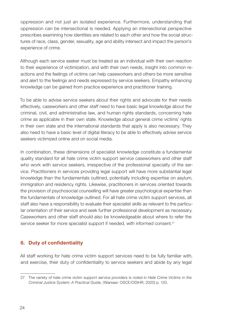<span id="page-25-0"></span>oppression and not just an isolated experience. Furthermore, understanding that oppression can be intersectional is needed. Applying an intersectional perspective prescribes examining how identities are related to each other and how the social structures of race, class, gender, sexuality, age and ability intersect and impact the person's experience of crime.

Although each service seeker must be treated as an individual with their own reaction to their experience of victimization, and with their own needs, insight into common reactions and the feelings of victims can help caseworkers and others be more sensitive and alert to the feelings and needs expressed by service seekers. Empathy enhancing knowledge can be gained from practice experience and practitioner training.

To be able to advise service seekers about their rights and advocate for their needs effectively, caseworkers and other staff need to have basic legal knowledge about the criminal, civil, and administrative law, and human rights standards, concerning hate crime as applicable in their own state. Knowledge about general crime victims' rights in their own state and the international standards that apply is also necessary. They also need to have a basic level of digital literacy to be able to effectively advise service seekers victimized online and on social media.

In combination, these dimensions of specialist knowledge constitute a fundamental quality standard for all hate crime victim support service caseworkers and other staff who work with service seekers, irrespective of the professional specialty of the service. Practitioners in services providing legal support will have more substantial legal knowledge than the fundamentals outlined, potentially including expertise on asylum, immigration and residency rights. Likewise, practitioners in services oriented towards the provision of psychosocial counselling will have greater psychological expertise than the fundamentals of knowledge outlined. For all hate crime victim support services, all staff also have a responsibility to evaluate their specialist skills as relevant to the particular orientation of their service and seek further professional development as necessary. Caseworkers and other staff should also be knowledgeable about where to refer the service seeker for more specialist support if needed, with informed consent.<sup>27</sup>

# 6. Duty of confidentiality

All staff working for hate crime victim support services need to be fully familiar with, and exercise, their duty of confidentiality to service seekers and abide by any legal

<sup>27</sup> The variety of hate crime victim support service providers is noted in *[Hate Crime Victims in the](https://www.osce.org/files/f/documents/c/5/447028.pdf)  [Criminal Justice System: A Practical Guide](https://www.osce.org/files/f/documents/c/5/447028.pdf)*, *(*Warsaw: OSCE/ODIHR, 2020) p. 120.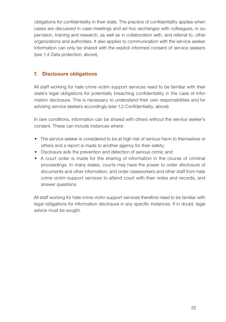<span id="page-26-0"></span>obligations for confidentiality in their state. The practice of confidentiality applies when cases are discussed in case meetings and ad hoc exchanges with colleagues, in supervision, training and research, as well as in collaboration with, and referral to, other organizations and authorities. It also applies to communication with the service seeker. Information can only be shared with the explicit informed consent of service seekers (see 1.4 Data protection, above).

### 7. Disclosure obligations

All staff working for hate crime victim support services need to be familiar with their state's legal obligations for potentially breaching confidentiality in the case of information disclosure. This is necessary to understand their own responsibilities and for advising service seekers accordingly (see 1.2 Confidentiality, above).

In rare conditions, information can be shared with others without the service seeker's consent. These can include instances where:

- The service seeker is considered to be at high risk of serious harm to themselves or others and a report is made to another agency for their safety;
- Disclosure aids the prevention and detection of serious crime; and
- A court order is made for the sharing of information in the course of criminal proceedings. In many states, courts may have the power to order disclosure of documents and other information, and order caseworkers and other staff from hate crime victim support services to attend court with their notes and records, and answer questions.

All staff working for hate crime victim support services therefore need to be familiar with legal obligations for information disclosure in any specific instances. If in doubt, legal advice must be sought.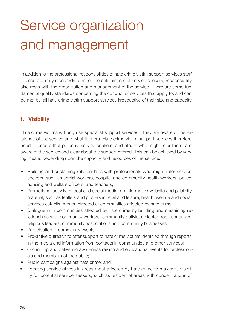# <span id="page-27-0"></span>Service organization and management

In addition to the professional responsibilities of hate crime victim support services staff to ensure quality standards to meet the entitlements of service seekers, responsibility also rests with the organization and management of the service. There are some fundamental quality standards concerning the conduct of services that apply to, and can be met by, all hate crime victim support services irrespective of their size and capacity.

# 1. Visibility

Hate crime victims will only use specialist support services if they are aware of the existence of the service and what it offers. Hate crime victim support services therefore need to ensure that potential service seekers, and others who might refer them, are aware of the service and clear about the support offered. This can be achieved by varying means depending upon the capacity and resources of the service:

- Building and sustaining relationships with professionals who might refer service seekers, such as social workers, hospital and community health workers, police, housing and welfare officers, and teachers;
- Promotional activity in local and social media, an informative website and publicity material, such as leaflets and posters in retail and leisure, health, welfare and social services establishments, directed at communities affected by hate crime;
- Dialogue with communities affected by hate crime by building and sustaining relationships with community workers, community activists, elected representatives, religious leaders, community associations and community businesses;
- Participation in community events;
- Pro-active outreach to offer support to hate crime victims identified through reports in the media and information from contacts in communities and other services;
- Organizing and delivering awareness raising and educational events for professionals and members of the public;
- Public campaigns against hate crime; and
- Locating service offices in areas most affected by hate crime to maximize visibility for potential service seekers, such as residential areas with concentrations of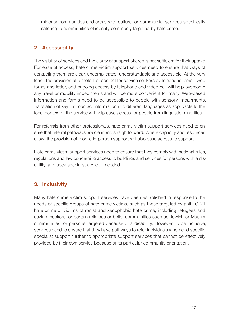<span id="page-28-0"></span>minority communities and areas with cultural or commercial services specifically catering to communities of identity commonly targeted by hate crime.

# 2. Accessibility

The visibility of services and the clarity of support offered is not sufficient for their uptake. For ease of access, hate crime victim support services need to ensure that ways of contacting them are clear, uncomplicated, understandable and accessible. At the very least, the provision of remote first contact for service seekers by telephone, email, web forms and letter, and ongoing access by telephone and video call will help overcome any travel or mobility impediments and will be more convenient for many. Web-based information and forms need to be accessible to people with sensory impairments. Translation of key first contact information into different languages as applicable to the local context of the service will help ease access for people from linguistic minorities.

For referrals from other professionals, hate crime victim support services need to ensure that referral pathways are clear and straightforward. Where capacity and resources allow, the provision of mobile in-person support will also ease access to support.

Hate crime victim support services need to ensure that they comply with national rules, regulations and law concerning access to buildings and services for persons with a disability, and seek specialist advice if needed.

# 3. Inclusivity

Many hate crime victim support services have been established in response to the needs of specific groups of hate crime victims, such as those targeted by anti-LGBTI hate crime or victims of racist and xenophobic hate crime, including refugees and asylum seekers, or certain religious or belief communities such as Jewish or Muslim communities, or persons targeted because of a disability. However, to be inclusive, services need to ensure that they have pathways to refer individuals who need specific specialist support further to appropriate support services that cannot be effectively provided by their own service because of its particular community orientation.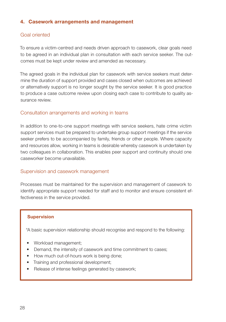### <span id="page-29-0"></span>4. Casework arrangements and management

### Goal oriented

To ensure a victim-centred and needs driven approach to casework, clear goals need to be agreed in an individual plan in consultation with each service seeker. The outcomes must be kept under review and amended as necessary.

The agreed goals in the individual plan for casework with service seekers must determine the duration of support provided and cases closed when outcomes are achieved or alternatively support is no longer sought by the service seeker. It is good practice to produce a case outcome review upon closing each case to contribute to quality assurance review.

#### Consultation arrangements and working in teams

In addition to one-to-one support meetings with service seekers, hate crime victim support services must be prepared to undertake group support meetings if the service seeker prefers to be accompanied by family, friends or other people. Where capacity and resources allow, working in teams is desirable whereby casework is undertaken by two colleagues in collaboration. This enables peer support and continuity should one caseworker become unavailable.

#### Supervision and casework management

Processes must be maintained for the supervision and management of casework to identify appropriate support needed for staff and to monitor and ensure consistent effectiveness in the service provided.

#### **Supervision**

"A basic supervision relationship should recognise and respond to the following:

- Workload management;
- Demand, the intensity of casework and time commitment to cases;
- How much out-of-hours work is being done;
- Training and professional development;
- Release of intense feelings generated by casework;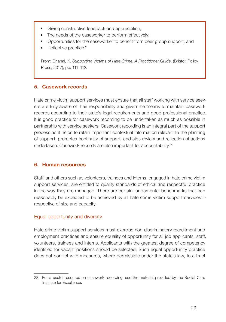- <span id="page-30-0"></span>• Giving constructive feedback and appreciation;
- The needs of the caseworker to perform effectively;
- Opportunities for the caseworker to benefit from peer group support; and
- Reflective practice."

From: Chahal, K. *Supporting Victims of Hate Crime. A Practitioner Guide*, (Bristol: Policy Press, 2017), pp. 111–112.

#### 5. Casework records

Hate crime victim support services must ensure that all staff working with service seekers are fully aware of their responsibility and given the means to maintain casework records according to their state's legal requirements and good professional practice. It is good practice for casework recording to be undertaken as much as possible in partnership with service seekers. Casework recording is an integral part of the support process as it helps to retain important contextual information relevant to the planning of support, promotes continuity of support, and aids review and reflection of actions undertaken. Casework records are also important for accountability.<sup>28</sup>

#### 6. Human resources

Staff, and others such as volunteers, trainees and interns, engaged in hate crime victim support services, are entitled to quality standards of ethical and respectful practice in the way they are managed. There are certain fundamental benchmarks that can reasonably be expected to be achieved by all hate crime victim support services irrespective of size and capacity.

#### Equal opportunity and diversity

Hate crime victim support services must exercise non-discriminatory recruitment and employment practices and ensure equality of opportunity for all job applicants, staff, volunteers, trainees and interns. Applicants with the greatest degree of competency identified for vacant positions should be selected. Such equal opportunity practice does not conflict with measures, where permissible under the state's law, to attract

<sup>28</sup> For a useful resource on casework recording, see the material provided by the [Social Care](https://www.scie.org.uk/social-work/recording)  [Institute for Excellence.](https://www.scie.org.uk/social-work/recording)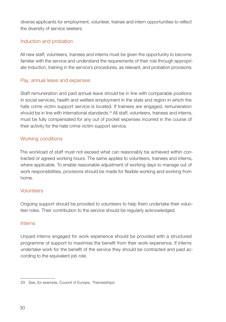diverse applicants for employment, volunteer, trainee and intern opportunities to reflect the diversity of service seekers.

#### Induction and probation

All new staff, volunteers, trainees and interns must be given the opportunity to become familiar with the service and understand the requirements of their role through appropriate induction, training in the service's procedures, as relevant, and probation provisions.

#### Pay, annual leave and expenses

Staff remuneration and paid annual leave should be in line with comparable positions in social services, health and welfare employment in the state and region in which the hate crime victim support service is located. If trainees are engaged, remuneration should be in line with international standards.<sup>29</sup> All staff, volunteers, trainees and interns, must be fully compensated for any out of pocket expenses incurred in the course of their activity for the hate crime victim support service.

# Working conditions

The workload of staff must not exceed what can reasonably be achieved within contracted or agreed working hours. The same applies to volunteers, trainees and interns, where applicable. To enable reasonable adjustment of working days to manage out of work responsibilities, provisions should be made for flexible working and working from home.

#### Volunteers

Ongoing support should be provided to volunteers to help them undertake their volunteer roles. Their contribution to the service should be regularly acknowledged.

#### Interns

Unpaid interns engaged for work experience should be provided with a structured programme of support to maximise the benefit from their work experience. If interns undertake work for the benefit of the service they should be contracted and paid according to the equivalent job role.

<sup>29</sup> See, for example, Council of Europe, ['Traineeships'](https://www.coe.int/en/web/jobs/traineeships).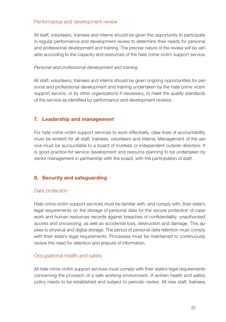#### <span id="page-32-0"></span>Performance and development review

All staff, volunteers, trainees and interns should be given the opportunity to participate in regular performance and development review to determine their needs for personal and professional development and training. The precise nature of the review will be variable according to the capacity and resources of the hate crime victim support service.

#### *Personal and professional development and training*

All staff, volunteers, trainees and interns should be given ongoing opportunities for personal and professional development and training undertaken by the hate crime victim support service, or by other organizations if necessary, to meet the quality standards of the service as identified by performance and development reviews.

#### 7. Leadership and management

For hate crime victim support services to work effectively, clear lines of accountability must be evident for all staff, trainees, volunteers and interns. Management of the service must be accountable to a board of trustees or independent outside directors. It is good practice for service development and resource planning to be undertaken by senior management in partnership with the board, with the participation of staff.

#### 8. Security and safeguarding

#### *Data protection*

Hate crime victim support services must be familiar with, and comply with, their state's legal requirements on the storage of personal data for the secure protection of casework and human resources records against breaches of confidentiality, unauthorised access and processing, as well as accidental loss, destruction and damage. This applies to physical and digital storage. The period of personal data retention must comply with their state's legal requirements. Processes must be maintained to continuously review the need for retention and erasure of information.

#### Occupational health and safety

All hate crime victim support services must comply with their state's legal requirements concerning the provision of a safe working environment. A written health and safety policy needs to be established and subject to periodic review. All new staff, trainees,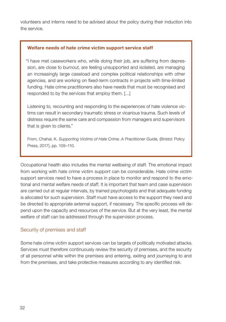volunteers and interns need to be advised about the policy during their induction into the service.

#### Welfare needs of hate crime victim support service staff

"I have met caseworkers who, while doing their job, are suffering from depression, are close to burnout, are feeling unsupported and isolated, are managing an increasingly large caseload and complex political relationships with other agencies, and are working on fixed-term contracts in projects with time-limited funding. Hate crime practitioners also have needs that must be recognised and responded to by the services that employ them. […]

Listening to, recounting and responding to the experiences of hate violence victims can result in secondary traumatic stress or vicarious trauma. Such levels of distress require the same care and compassion from managers and supervisors that is given to clients."

From, Chahal, K. *Supporting Victims of Hate Crime. A Practitioner Guide,* (Bristol: Policy Press, 2017), pp. 109–110.

Occupational health also includes the mental wellbeing of staff. The emotional impact from working with hate crime victim support can be considerable. Hate crime victim support services need to have a process in place to monitor and respond to the emotional and mental welfare needs of staff. It is important that team and case supervision are carried out at regular intervals, by trained psychologists and that adequate funding is allocated for such supervision. Staff must have access to the support they need and be directed to appropriate external support, if necessary. The specific process will depend upon the capacity and resources of the service. But at the very least, the mental welfare of staff can be addressed through the supervision process.

#### Security of premises and staff

Some hate crime victim support services can be targets of politically motivated attacks. Services must therefore continuously review the security of premises, and the security of all personnel while within the premises and entering, exiting and journeying to and from the premises, and take protective measures according to any identified risk.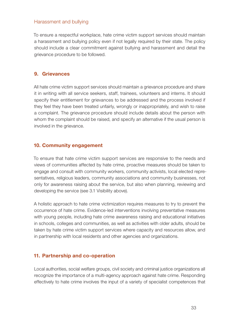#### <span id="page-34-0"></span>Harassment and bullying

To ensure a respectful workplace, hate crime victim support services should maintain a harassment and bullying policy even if not legally required by their state. The policy should include a clear commitment against bullying and harassment and detail the grievance procedure to be followed.

### 9. Grievances

All hate crime victim support services should maintain a grievance procedure and share it in writing with all service seekers, staff, trainees, volunteers and interns. It should specify their entitlement for grievances to be addressed and the process involved if they feel they have been treated unfairly, wrongly or inappropriately, and wish to raise a complaint. The grievance procedure should include details about the person with whom the complaint should be raised, and specify an alternative if the usual person is involved in the grievance.

### 10. Community engagement

To ensure that hate crime victim support services are responsive to the needs and views of communities affected by hate crime, proactive measures should be taken to engage and consult with community workers, community activists, local elected representatives, religious leaders, community associations and community businesses, not only for awareness raising about the service, but also when planning, reviewing and developing the service (see 3.1 Visibility above).

A holistic approach to hate crime victimization requires measures to try to prevent the occurrence of hate crime. Evidence-led interventions involving preventative measures with young people, including hate crime awareness raising and educational initiatives in schools, colleges and communities, as well as activities with older adults, should be taken by hate crime victim support services where capacity and resources allow, and in partnership with local residents and other agencies and organizations.

#### 11. Partnership and co-operation

Local authorities, social welfare groups, civil society and criminal justice organizations all recognize the importance of a multi-agency approach against hate crime. Responding effectively to hate crime involves the input of a variety of specialist competences that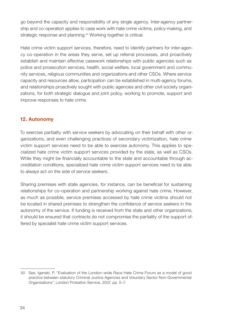<span id="page-35-0"></span>go beyond the capacity and responsibility of any single agency. Inter-agency partnership and co-operation applies to case work with hate crime victims, policy-making, and strategic response and planning.<sup>30</sup> Working together is critical.

Hate crime victim support services, therefore, need to identify partners for inter-agency co-operation in the areas they serve, set up referral processes, and proactively establish and maintain effective casework relationships with public agencies such as police and prosecution services, health, social welfare, local government and community services, religious communities and organizations and other CSOs. Where service capacity and resources allow, participation can be established in multi-agency forums, and relationships proactively sought with public agencies and other civil society organizations, for both strategic dialogue and joint policy, working to promote, support and improve responses to hate crime.

# 12. Autonomy

To exercise partiality with service seekers by advocating on their behalf with other organizations, and even challenging practices of secondary victimization, hate crime victim support services need to be able to exercise autonomy. This applies to specialized hate crime victim support services provided by the state, as well as CSOs. While they might be financially accountable to the state and accountable through accreditation conditions, specialized hate crime victim support services need to be able to always act on the side of service seekers.

Sharing premises with state agencies, for instance, can be beneficial for sustaining relationships for co-operation and partnership working against hate crime. However, as much as possible, service premises accessed by hate crime victims should not be located in shared premises to strengthen the confidence of service seekers in the autonomy of the service. If funding is received from the state and other organizations, it should be ensured that contracts do not compromise the partiality of the support offered by specialist hate crime victim support services.

<sup>30</sup> See, Iganski, P. "[Evaluation of the London–wide Race Hate Crime Forum as a model of good](http://policeauthority.org/metropolitan/downloads/partnerships/hcf/070101-igansky.pdf)  [practice between statutory Criminal Justice Agencies and Voluntary Sector Non-Governmental](http://policeauthority.org/metropolitan/downloads/partnerships/hcf/070101-igansky.pdf)  [Organisations](http://policeauthority.org/metropolitan/downloads/partnerships/hcf/070101-igansky.pdf)*"*, London Probation Service, 2007, pp. 5–7.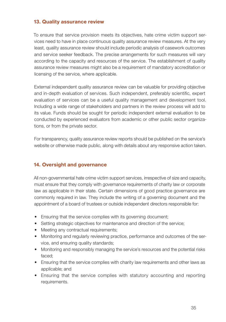#### <span id="page-36-0"></span>13. Quality assurance review

To ensure that service provision meets its objectives, hate crime victim support services need to have in place continuous quality assurance review measures. At the very least, quality assurance review should include periodic analysis of casework outcomes and service seeker feedback. The precise arrangements for such measures will vary according to the capacity and resources of the service. The establishment of quality assurance review measures might also be a requirement of mandatory accreditation or licensing of the service, where applicable.

External independent quality assurance review can be valuable for providing objective and in-depth evaluation of services. Such independent, preferably scientific, expert evaluation of services can be a useful quality management and development tool. Including a wide range of stakeholders and partners in the review process will add to its value. Funds should be sought for periodic independent external evaluation to be conducted by experienced evaluators from academic or other public sector organizations, or from the private sector.

For transparency, quality assurance review reports should be published on the service's website or otherwise made public, along with details about any responsive action taken.

#### 14. Oversight and governance

All non-governmental hate crime victim support services, irrespective of size and capacity, must ensure that they comply with governance requirements of charity law or corporate law as applicable in their state. Certain dimensions of good practice governance are commonly required in law. They include the writing of a governing document and the appointment of a board of trustees or outside independent directors responsible for:

- Ensuring that the service complies with its governing document;
- Setting strategic objectives for maintenance and direction of the service;
- Meeting any contractual requirements;
- Monitoring and regularly reviewing practice, performance and outcomes of the service, and ensuring quality standards;
- Monitoring and responsibly managing the service's resources and the potential risks faced;
- Ensuring that the service complies with charity law requirements and other laws as applicable; and
- Ensuring that the service complies with statutory accounting and reporting requirements.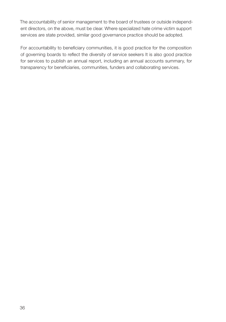The accountability of senior management to the board of trustees or outside independent directors, on the above, must be clear. Where specialized hate crime victim support services are state provided, similar good governance practice should be adopted.

For accountability to beneficiary communities, it is good practice for the composition of governing boards to reflect the diversity of service seekers It is also good practice for services to publish an annual report, including an annual accounts summary, for transparency for beneficiaries, communities, funders and collaborating services.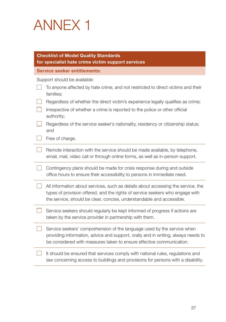# <span id="page-38-0"></span>ANNEX 1

| <b>Checklist of Model Quality Standards</b><br>for specialist hate crime victim support services                                                                                                                                           |  |  |
|--------------------------------------------------------------------------------------------------------------------------------------------------------------------------------------------------------------------------------------------|--|--|
| <b>Service seeker entitlements:</b>                                                                                                                                                                                                        |  |  |
| Support should be available:                                                                                                                                                                                                               |  |  |
| To anyone affected by hate crime, and not restricted to direct victims and their<br>families;                                                                                                                                              |  |  |
| Regardless of whether the direct victim's experience legally qualifies as crime;                                                                                                                                                           |  |  |
| Irrespective of whether a crime is reported to the police or other official<br>authority;                                                                                                                                                  |  |  |
| Regardless of the service seeker's nationality, residency or citizenship status;<br>and                                                                                                                                                    |  |  |
| Free of charge.                                                                                                                                                                                                                            |  |  |
| Remote interaction with the service should be made available, by telephone,<br>email, mail, video call or through online forms, as well as in-person support.                                                                              |  |  |
| Contingency plans should be made for crisis response during and outside<br>office hours to ensure their accessibility to persons in immediate need.                                                                                        |  |  |
| All information about services, such as details about accessing the service, the<br>types of provision offered, and the rights of service seekers who engage with<br>the service, should be clear, concise, understandable and accessible. |  |  |
| Service seekers should regularly be kept informed of progress if actions are<br>taken by the service provider in partnership with them.                                                                                                    |  |  |
| Service seekers' comprehension of the language used by the service when<br>providing information, advice and support, orally and in writing, always needs to<br>be considered with measures taken to ensure effective communication.       |  |  |
| It should be ensured that services comply with national rules, regulations and<br>law concerning access to buildings and provisions for persons with a disability.                                                                         |  |  |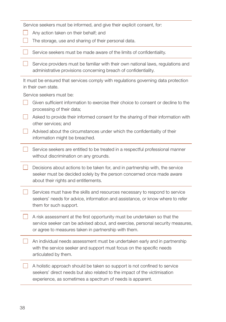| Service seekers must be informed, and give their explicit consent, for:                                                                                                                                             |  |  |
|---------------------------------------------------------------------------------------------------------------------------------------------------------------------------------------------------------------------|--|--|
| Any action taken on their behalf; and                                                                                                                                                                               |  |  |
| The storage, use and sharing of their personal data.                                                                                                                                                                |  |  |
| Service seekers must be made aware of the limits of confidentiality.                                                                                                                                                |  |  |
| Service providers must be familiar with their own national laws, regulations and<br>administrative provisions concerning breach of confidentiality.                                                                 |  |  |
| It must be ensured that services comply with regulations governing data protection<br>in their own state.                                                                                                           |  |  |
| Service seekers must be:                                                                                                                                                                                            |  |  |
| Given sufficient information to exercise their choice to consent or decline to the<br>processing of their data;                                                                                                     |  |  |
| Asked to provide their informed consent for the sharing of their information with<br>other services; and                                                                                                            |  |  |
| Advised about the circumstances under which the confidentiality of their<br>information might be breached.                                                                                                          |  |  |
| Service seekers are entitled to be treated in a respectful professional manner<br>without discrimination on any grounds.                                                                                            |  |  |
| Decisions about actions to be taken for, and in partnership with, the service<br>seeker must be decided solely by the person concerned once made aware<br>about their rights and entitlements.                      |  |  |
| Services must have the skills and resources necessary to respond to service<br>seekers' needs for advice, information and assistance, or know where to refer<br>them for such support.                              |  |  |
| A risk assessment at the first opportunity must be undertaken so that the<br>service seeker can be advised about, and exercise, personal security measures,<br>or agree to measures taken in partnership with them. |  |  |
| An individual needs assessment must be undertaken early and in partnership<br>with the service seeker and support must focus on the specific needs<br>articulated by them.                                          |  |  |
| A holistic approach should be taken so support is not confined to service<br>seekers' direct needs but also related to the impact of the victimisation<br>experience, as sometimes a spectrum of needs is apparent. |  |  |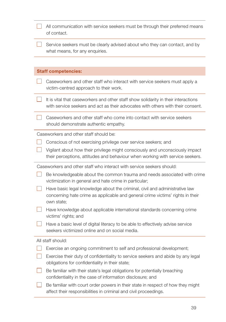| All communication with service seekers must be through their preferred means<br>of contact.                                                                                 |  |  |
|-----------------------------------------------------------------------------------------------------------------------------------------------------------------------------|--|--|
| Service seekers must be clearly advised about who they can contact, and by<br>what means, for any enquiries.                                                                |  |  |
|                                                                                                                                                                             |  |  |
| <b>Staff competencies:</b>                                                                                                                                                  |  |  |
| Caseworkers and other staff who interact with service seekers must apply a<br>victim-centred approach to their work.                                                        |  |  |
| It is vital that caseworkers and other staff show solidarity in their interactions<br>with service seekers and act as their advocates with others with their consent.       |  |  |
| Caseworkers and other staff who come into contact with service seekers<br>should demonstrate authentic empathy.                                                             |  |  |
| Caseworkers and other staff should be:                                                                                                                                      |  |  |
| Conscious of not exercising privilege over service seekers; and                                                                                                             |  |  |
| Vigilant about how their privilege might consciously and unconsciously impact<br>their perceptions, attitudes and behaviour when working with service seekers.              |  |  |
| Caseworkers and other staff who interact with service seekers should:                                                                                                       |  |  |
| Be knowledgeable about the common trauma and needs associated with crime<br>victimization in general and hate crime in particular;                                          |  |  |
| Have basic legal knowledge about the criminal, civil and administrative law<br>concerning hate crime as applicable and general crime victims' rights in their<br>own state; |  |  |
| Have knowledge about applicable international standards concerning crime<br>victims' rights; and                                                                            |  |  |
| Have a basic level of digital literacy to be able to effectively advise service<br>seekers victimized online and on social media.                                           |  |  |
| All staff should:                                                                                                                                                           |  |  |
| Exercise an ongoing commitment to self and professional development;                                                                                                        |  |  |
| Exercise their duty of confidentiality to service seekers and abide by any legal<br>obligations for confidentiality in their state;                                         |  |  |
| Be familiar with their state's legal obligations for potentially breaching<br>confidentiality in the case of information disclosure; and                                    |  |  |
| Be familiar with court order powers in their state in respect of how they might<br>affect their responsibilities in criminal and civil proceedings.                         |  |  |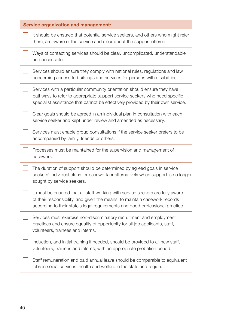| <b>Service organization and management:</b> |                                                                                                                                                                                                                                               |  |
|---------------------------------------------|-----------------------------------------------------------------------------------------------------------------------------------------------------------------------------------------------------------------------------------------------|--|
|                                             | It should be ensured that potential service seekers, and others who might refer<br>them, are aware of the service and clear about the support offered.                                                                                        |  |
|                                             | Ways of contacting services should be clear, uncomplicated, understandable<br>and accessible.                                                                                                                                                 |  |
|                                             | Services should ensure they comply with national rules, regulations and law<br>concerning access to buildings and services for persons with disabilities.                                                                                     |  |
|                                             | Services with a particular community orientation should ensure they have<br>pathways to refer to appropriate support service seekers who need specific<br>specialist assistance that cannot be effectively provided by their own service.     |  |
|                                             | Clear goals should be agreed in an individual plan in consultation with each<br>service seeker and kept under review and amended as necessary.                                                                                                |  |
|                                             | Services must enable group consultations if the service seeker prefers to be<br>accompanied by family, friends or others.                                                                                                                     |  |
|                                             | Processes must be maintained for the supervision and management of<br>casework.                                                                                                                                                               |  |
|                                             | The duration of support should be determined by agreed goals in service<br>seekers' individual plans for casework or alternatively when support is no longer<br>sought by service seekers.                                                    |  |
|                                             | It must be ensured that all staff working with service seekers are fully aware<br>of their responsibility, and given the means, to maintain casework records<br>according to their state's legal requirements and good professional practice. |  |
|                                             | Services must exercise non-discriminatory recruitment and employment<br>practices and ensure equality of opportunity for all job applicants, staff,<br>volunteers, trainees and interns.                                                      |  |
|                                             | Induction, and initial training if needed, should be provided to all new staff,<br>volunteers, trainees and interns, with an appropriate probation period.                                                                                    |  |
|                                             | Staff remuneration and paid annual leave should be comparable to equivalent<br>jobs in social services, health and welfare in the state and region.                                                                                           |  |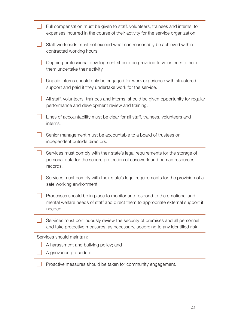| Full compensation must be given to staff, volunteers, trainees and interns, for<br>expenses incurred in the course of their activity for the service organization.      |
|-------------------------------------------------------------------------------------------------------------------------------------------------------------------------|
| Staff workloads must not exceed what can reasonably be achieved within<br>contracted working hours.                                                                     |
| Ongoing professional development should be provided to volunteers to help<br>them undertake their activity.                                                             |
| Unpaid interns should only be engaged for work experience with structured<br>support and paid if they undertake work for the service.                                   |
| All staff, volunteers, trainees and interns, should be given opportunity for regular<br>performance and development review and training.                                |
| Lines of accountability must be clear for all staff, trainees, volunteers and<br>interns.                                                                               |
| Senior management must be accountable to a board of trustees or<br>independent outside directors.                                                                       |
| Services must comply with their state's legal requirements for the storage of<br>personal data for the secure protection of casework and human resources<br>records.    |
| Services must comply with their state's legal requirements for the provision of a<br>safe working environment.                                                          |
| Processes should be in place to monitor and respond to the emotional and<br>mental welfare needs of staff and direct them to appropriate external support if<br>needed. |
| Services must continuously review the security of premises and all personnel<br>and take protective measures, as necessary, according to any identified risk.           |
| Services should maintain:                                                                                                                                               |
| A harassment and bullying policy; and                                                                                                                                   |
| A grievance procedure.                                                                                                                                                  |
| Proactive measures should be taken for community engagement.                                                                                                            |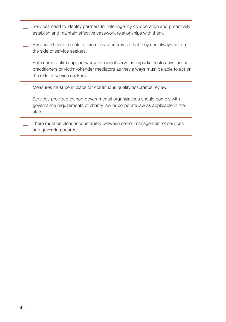| Services need to identify partners for inter-agency co-operation and proactively<br>establish and maintain effective casework relationships with them.                                              |
|-----------------------------------------------------------------------------------------------------------------------------------------------------------------------------------------------------|
| Services should be able to exercise autonomy so that they can always act on<br>the side of service seekers.                                                                                         |
| Hate crime victim support workers cannot serve as impartial restorative justice<br>practitioners or victim-offender mediators as they always must be able to act on<br>the side of service seekers. |
| Measures must be in place for continuous quality assurance review.                                                                                                                                  |
| Services provided by non-governmental organizations should comply with<br>governance requirements of charity law or corporate law as applicable in their<br>state.                                  |
| There must be clear accountability between senior management of services<br>and governing boards.                                                                                                   |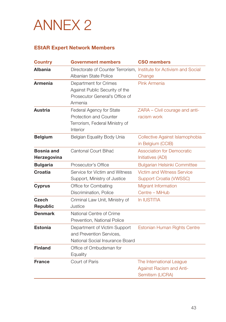<span id="page-44-0"></span>

# EStAR Expert Network Members

| <b>Country</b>                   | <b>Government members</b>                                                                            | <b>CSO members</b>                                                              |
|----------------------------------|------------------------------------------------------------------------------------------------------|---------------------------------------------------------------------------------|
| <b>Albania</b>                   | Directorate of Counter Terrorism, Institute for Activism and Social<br>Albanian State Police         | Change                                                                          |
| <b>Armenia</b>                   | Department for Crimes<br>Against Public Security of the<br>Prosecutor General's Office of<br>Armenia | Pink Armenia                                                                    |
| <b>Austria</b>                   | Federal Agency for State<br>Protection and Counter<br>Terrorism, Federal Ministry of<br>Interior     | ZARA - Civil courage and anti-<br>racism work                                   |
| <b>Belgium</b>                   | Belgian Equality Body Unia                                                                           | Collective Against Islamophobia<br>in Belgium (CCIB)                            |
| <b>Bosnia and</b><br>Herzegovina | Cantonal Court Bihać                                                                                 | <b>Association for Democratic</b><br>Initiatives (ADI)                          |
| <b>Bulgaria</b>                  | Prosecutor's Office                                                                                  | <b>Bulgarian Helsinki Committee</b>                                             |
| <b>Croatia</b>                   | Service for Victim and Witness<br>Support, Ministry of Justice                                       | <b>Victim and Witness Service</b><br>Support Croatia (VWSSC)                    |
| <b>Cyprus</b>                    | Office for Combating<br>Discrimination, Police                                                       | Migrant Information<br>Centre - MiHub                                           |
| <b>Czech</b><br>Republic         | Criminal Law Unit, Ministry of<br>Justice                                                            | In IUSTITIA                                                                     |
| <b>Denmark</b>                   | National Centre of Crime<br>Prevention, National Police                                              |                                                                                 |
| <b>Estonia</b>                   | Department of Victim Support<br>and Prevention Services,<br>National Social Insurance Board          | Estonian Human Rights Centre                                                    |
| <b>Finland</b>                   | Office of Ombudsman for<br>Equality                                                                  |                                                                                 |
| <b>France</b>                    | Court of Paris                                                                                       | The International League<br><b>Against Racism and Anti-</b><br>Semitism (LICRA) |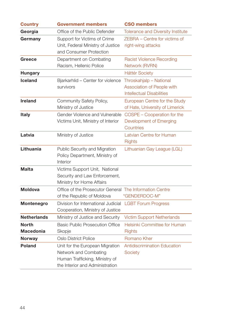| <b>Country</b>                   | <b>Government members</b>                                                                                                     | <b>CSO members</b>                                                                        |
|----------------------------------|-------------------------------------------------------------------------------------------------------------------------------|-------------------------------------------------------------------------------------------|
| Georgia                          | Office of the Public Defender                                                                                                 | <b>Tolerance and Diversity Institute</b>                                                  |
| Germany                          | Support for Victims of Crime<br>Unit, Federal Ministry of Justice<br>and Consumer Protection                                  | ZEBRA - Centre for victims of<br>right-wing attacks                                       |
| Greece                           | Department on Combating<br>Racism, Hellenic Police                                                                            | <b>Racist Violence Recording</b><br>Network (RVRN)                                        |
| <b>Hungary</b>                   |                                                                                                                               | <b>Háttér Society</b>                                                                     |
| <b>Iceland</b>                   | Bjarkarhlid - Center for violence<br>survivors                                                                                | Throskahjalp - National<br>Association of People with<br><b>Intellectual Disabilities</b> |
| <b>Ireland</b>                   | Community Safety Policy,<br>Ministry of Justice                                                                               | European Centre for the Study<br>of Hate, University of Limerick                          |
| <b>Italy</b>                     | Gender Violence and Vulnerable<br>Victims Unit, Ministry of Interior                                                          | COSPE - Cooperation for the<br>Development of Emerging<br>Countries                       |
| Latvia                           | Ministry of Justice                                                                                                           | Latvian Centre for Human<br><b>Rights</b>                                                 |
| Lithuania                        | Public Security and Migration<br>Policy Department, Ministry of<br>Interior                                                   | Lithuanian Gay League (LGL)                                                               |
| <b>Malta</b>                     | Victims Support Unit, National<br>Security and Law Enforcement,<br>Ministry for Home Affairs                                  |                                                                                           |
| <b>Moldova</b>                   | Office of the Prosecutor General The Information Centre<br>of the Republic of Moldova                                         | "GENDERDOC-M"                                                                             |
| Montenegro                       | Division for International Judicial<br>Cooperation, Ministry of Justice                                                       | <b>LGBT Forum Progress</b>                                                                |
| <b>Netherlands</b>               | Ministry of Justice and Security                                                                                              | <b>Victim Support Netherlands</b>                                                         |
| <b>North</b><br><b>Macedonia</b> | <b>Basic Public Prosecution Office</b><br>Skopje                                                                              | Helsinki Committee for Human<br><b>Rights</b>                                             |
| <b>Norway</b>                    | <b>Oslo District Police</b>                                                                                                   | Romano Kher                                                                               |
| <b>Poland</b>                    | Unit for the European Migration<br>Network and Combating<br>Human Trafficking, Ministry of<br>the Interior and Administration | <b>Antidiscrimination Education</b><br>Society                                            |